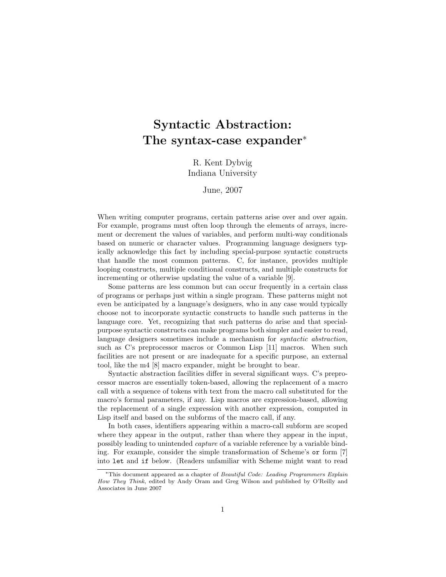# Syntactic Abstraction: The syntax-case expander<sup>∗</sup>

R. Kent Dybvig Indiana University

June, 2007

When writing computer programs, certain patterns arise over and over again. For example, programs must often loop through the elements of arrays, increment or decrement the values of variables, and perform multi-way conditionals based on numeric or character values. Programming language designers typically acknowledge this fact by including special-purpose syntactic constructs that handle the most common patterns. C, for instance, provides multiple looping constructs, multiple conditional constructs, and multiple constructs for incrementing or otherwise updating the value of a variable [9].

Some patterns are less common but can occur frequently in a certain class of programs or perhaps just within a single program. These patterns might not even be anticipated by a language's designers, who in any case would typically choose not to incorporate syntactic constructs to handle such patterns in the language core. Yet, recognizing that such patterns do arise and that specialpurpose syntactic constructs can make programs both simpler and easier to read, language designers sometimes include a mechanism for *syntactic abstraction*, such as C's preprocessor macros or Common Lisp [11] macros. When such facilities are not present or are inadequate for a specific purpose, an external tool, like the m4 [8] macro expander, might be brought to bear.

Syntactic abstraction facilities differ in several significant ways. C's preprocessor macros are essentially token-based, allowing the replacement of a macro call with a sequence of tokens with text from the macro call substituted for the macro's formal parameters, if any. Lisp macros are expression-based, allowing the replacement of a single expression with another expression, computed in Lisp itself and based on the subforms of the macro call, if any.

In both cases, identifiers appearing within a macro-call subform are scoped where they appear in the output, rather than where they appear in the input, possibly leading to unintended capture of a variable reference by a variable binding. For example, consider the simple transformation of Scheme's or form [7] into let and if below. (Readers unfamiliar with Scheme might want to read

<sup>∗</sup>This document appeared as a chapter of Beautiful Code: Leading Programmers Explain How They Think, edited by Andy Oram and Greg Wilson and published by O'Reilly and Associates in June 2007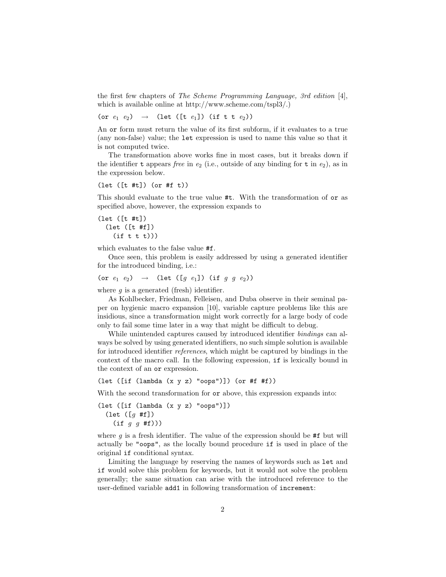the first few chapters of The Scheme Programming Language, 3rd edition [4], which is available online at http://www.scheme.com/tspl3/.)

(or  $e_1 e_2$ )  $\rightarrow$  (let ([t  $e_1$ ]) (if t t  $e_2$ ))

An or form must return the value of its first subform, if it evaluates to a true (any non-false) value; the let expression is used to name this value so that it is not computed twice.

The transformation above works fine in most cases, but it breaks down if the identifier  $t$  appears *free* in  $e_2$  (i.e., outside of any binding for  $t$  in  $e_2$ ), as in the expression below.

(let ([t #t]) (or #f t))

This should evaluate to the true value #t. With the transformation of or as specified above, however, the expression expands to

(let ([t #t]) (let ([t #f])  $(if t t t)))$ 

which evaluates to the false value #f.

Once seen, this problem is easily addressed by using a generated identifier for the introduced binding, i.e.:

$$
(or e_1 e_2) \rightarrow (let ([g e_1]) (if g g e_2))
$$

where  $q$  is a generated (fresh) identifier.

As Kohlbecker, Friedman, Felleisen, and Duba observe in their seminal paper on hygienic macro expansion [10], variable capture problems like this are insidious, since a transformation might work correctly for a large body of code only to fail some time later in a way that might be difficult to debug.

While unintended captures caused by introduced identifier *bindings* can always be solved by using generated identifiers, no such simple solution is available for introduced identifier references, which might be captured by bindings in the context of the macro call. In the following expression, if is lexically bound in the context of an or expression.

(let ([if (lambda (x y z) "oops")]) (or #f #f))

With the second transformation for or above, this expression expands into:

(let ([if (lambda (x y z) "oops")]) (let  $([g \#f])$  $(if g g #f)))$ 

where g is a fresh identifier. The value of the expression should be  $#f$  but will actually be "oops", as the locally bound procedure if is used in place of the original if conditional syntax.

Limiting the language by reserving the names of keywords such as let and if would solve this problem for keywords, but it would not solve the problem generally; the same situation can arise with the introduced reference to the user-defined variable add1 in following transformation of increment: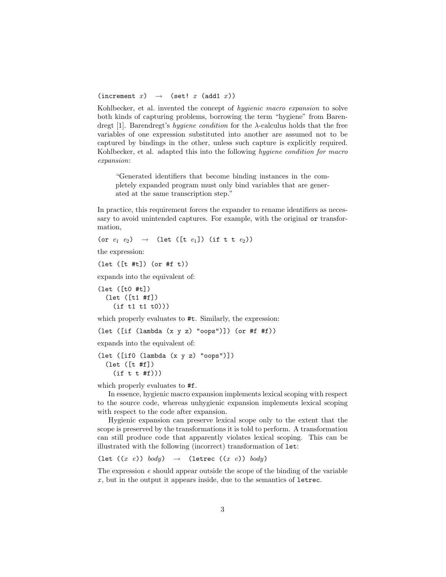(increment  $x$ )  $\rightarrow$  (set! x (add1 x))

Kohlbecker, et al. invented the concept of hygienic macro expansion to solve both kinds of capturing problems, borrowing the term "hygiene" from Barendregt [1]. Barendregt's *hygiene condition* for the  $\lambda$ -calculus holds that the free variables of one expression substituted into another are assumed not to be captured by bindings in the other, unless such capture is explicitly required. Kohlbecker, et al. adapted this into the following hygiene condition for macro expansion:

"Generated identifiers that become binding instances in the completely expanded program must only bind variables that are generated at the same transcription step."

In practice, this requirement forces the expander to rename identifiers as necessary to avoid unintended captures. For example, with the original or transformation,

(or  $e_1$   $e_2$ )  $\rightarrow$  (let ([t  $e_1$ ]) (if t t  $e_2$ ))

the expression:

 $(\text{let } ([t #t]) \text{ (or } #f t))$ 

expands into the equivalent of:

(let ([t0 #t]) (let ([t1 #f]) (if t1 t1 t0)))

which properly evaluates to  $#t$ . Similarly, the expression:

```
(let ([if (lambda (x y z) "oops")]) (or #f #f))
```
expands into the equivalent of:

```
(let ([if0 (lambda (x y z) "oops")])
  (let ([t #f])
    (if t t #f)))
```
which properly evaluates to  $#f$ .

In essence, hygienic macro expansion implements lexical scoping with respect to the source code, whereas unhygienic expansion implements lexical scoping with respect to the code after expansion.

Hygienic expansion can preserve lexical scope only to the extent that the scope is preserved by the transformations it is told to perform. A transformation can still produce code that apparently violates lexical scoping. This can be illustrated with the following (incorrect) transformation of let:

(let  $((x e))$  body)  $\rightarrow$  (letrec  $((x e))$  body)

The expression e should appear outside the scope of the binding of the variable  $x$ , but in the output it appears inside, due to the semantics of letrec.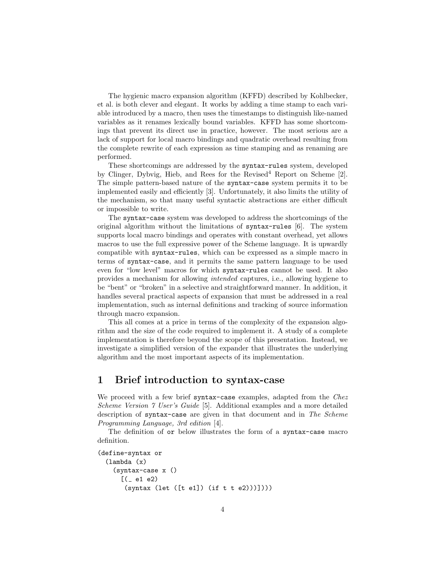The hygienic macro expansion algorithm (KFFD) described by Kohlbecker, et al. is both clever and elegant. It works by adding a time stamp to each variable introduced by a macro, then uses the timestamps to distinguish like-named variables as it renames lexically bound variables. KFFD has some shortcomings that prevent its direct use in practice, however. The most serious are a lack of support for local macro bindings and quadratic overhead resulting from the complete rewrite of each expression as time stamping and as renaming are performed.

These shortcomings are addressed by the syntax-rules system, developed by Clinger, Dybvig, Hieb, and Rees for the Revised<sup>4</sup> Report on Scheme [2]. The simple pattern-based nature of the syntax-case system permits it to be implemented easily and efficiently [3]. Unfortunately, it also limits the utility of the mechanism, so that many useful syntactic abstractions are either difficult or impossible to write.

The syntax-case system was developed to address the shortcomings of the original algorithm without the limitations of syntax-rules  $[6]$ . The system supports local macro bindings and operates with constant overhead, yet allows macros to use the full expressive power of the Scheme language. It is upwardly compatible with syntax-rules, which can be expressed as a simple macro in terms of syntax-case, and it permits the same pattern language to be used even for "low level" macros for which syntax-rules cannot be used. It also provides a mechanism for allowing intended captures, i.e., allowing hygiene to be "bent" or "broken" in a selective and straightforward manner. In addition, it handles several practical aspects of expansion that must be addressed in a real implementation, such as internal definitions and tracking of source information through macro expansion.

This all comes at a price in terms of the complexity of the expansion algorithm and the size of the code required to implement it. A study of a complete implementation is therefore beyond the scope of this presentation. Instead, we investigate a simplified version of the expander that illustrates the underlying algorithm and the most important aspects of its implementation.

### 1 Brief introduction to syntax-case

We proceed with a few brief syntax-case examples, adapted from the Chez Scheme Version 7 User's Guide [5]. Additional examples and a more detailed description of syntax-case are given in that document and in The Scheme Programming Language, 3rd edition [4].

The definition of or below illustrates the form of a syntax-case macro definition.

```
(define-syntax or
  (lambda (x)
    (syntax-case x ()
      [(= e1 e2)
       (syntax (let ([t e1]) (if t t e2)))])))
```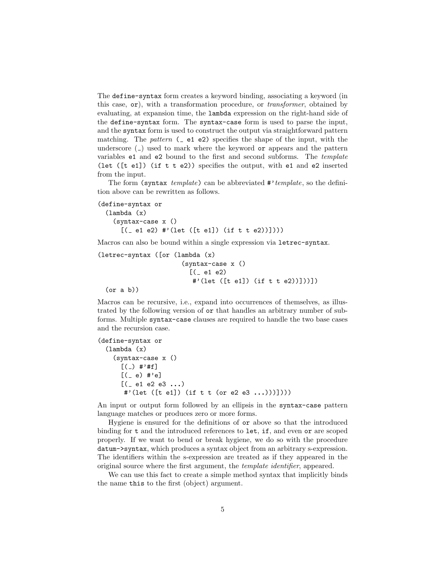The define-syntax form creates a keyword binding, associating a keyword (in this case, or), with a transformation procedure, or transformer, obtained by evaluating, at expansion time, the lambda expression on the right-hand side of the define-syntax form. The syntax-case form is used to parse the input, and the syntax form is used to construct the output via straightforward pattern matching. The pattern  $($  e1 e2) specifies the shape of the input, with the underscore  $\left(\frac{1}{2}\right)$  used to mark where the keyword or appears and the pattern variables e1 and e2 bound to the first and second subforms. The template (let ([t e1]) (if t t e2)) specifies the output, with e1 and e2 inserted from the input.

The form (syntax template) can be abbreviated  $\#$ 'template, so the definition above can be rewritten as follows.

```
(define-syntax or
  (lambda (x)
   (syntax-case x ()
      [(-e1 e2) # ' (let ([t e1]) (if t e2)) ] ))
```
Macros can also be bound within a single expression via letrec-syntax.

```
(letrec-syntax ([or (lambda (x)
                      (syntax-case x ()
                        [(= e1 e2)
                         #'(let ([t e1]) (if t t e2))]))])
  (or a b))
```
Macros can be recursive, i.e., expand into occurrences of themselves, as illustrated by the following version of or that handles an arbitrary number of subforms. Multiple syntax-case clauses are required to handle the two base cases and the recursion case.

```
(define-syntax or
  (lambda (x)
    (syntax-case x ()
      [() #'#f]
      [(-e) #'e]
      [(-e1 e2 e3 ...)]#'(let ([t e1]) (if t t (or e2 e3 . . .)))])))
```
An input or output form followed by an ellipsis in the syntax-case pattern language matches or produces zero or more forms.

Hygiene is ensured for the definitions of or above so that the introduced binding for t and the introduced references to let, if, and even or are scoped properly. If we want to bend or break hygiene, we do so with the procedure datum->syntax, which produces a syntax object from an arbitrary s-expression. The identifiers within the s-expression are treated as if they appeared in the original source where the first argument, the template identifier, appeared.

We can use this fact to create a simple method syntax that implicitly binds the name this to the first (object) argument.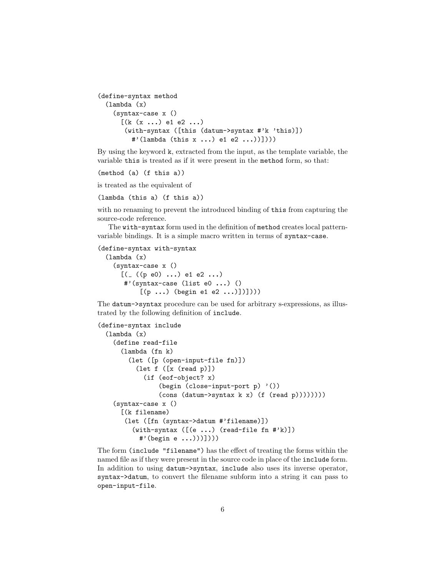```
(define-syntax method
  (lambda (x)
    (syntax-case x ()
      [(k (x ...) e1 e2 ...)(with-syntax ([this (datum->syntax #'k 'this)])
         \#'(lambda (this x ...) e1 e2 ...))])))
```
By using the keyword k, extracted from the input, as the template variable, the variable this is treated as if it were present in the method form, so that:

```
(method (a) (f this a))
```
is treated as the equivalent of

```
(lambda (this a) (f this a))
```
with no renaming to prevent the introduced binding of this from capturing the source-code reference.

The with-syntax form used in the definition of method creates local patternvariable bindings. It is a simple macro written in terms of syntax-case.

```
(define-syntax with-syntax
 (lambda (x)
   (syntax-case x ()
     [(- (p e0) ... ) e1 e2 ...]#'(syntax-case (list e0 . . .) ()
          [(p ...)(begin e1 e2 ...)]
```
The datum->syntax procedure can be used for arbitrary s-expressions, as illustrated by the following definition of include.

```
(define-syntax include
  (lambda (x)
    (define read-file
      (lambda (fn k)
        (let ([p (open-input-file fn)])
          (let f ([x (read p)])
            (if (eof-object? x)
                (begin (close-input-port p) '())
                (cons (datum->syntax k x) (f (read p)))))))(syntax-case x ()
      [(k filename)
       (let ([fn (syntax->datum #'filename)])
         (with-syntax ([(e \dots) (read-file fn \#'k)])
           #'(begin e . . .)))])))
```
The form (include "filename") has the effect of treating the forms within the named file as if they were present in the source code in place of the include form. In addition to using datum->syntax, include also uses its inverse operator, syntax->datum, to convert the filename subform into a string it can pass to open-input-file.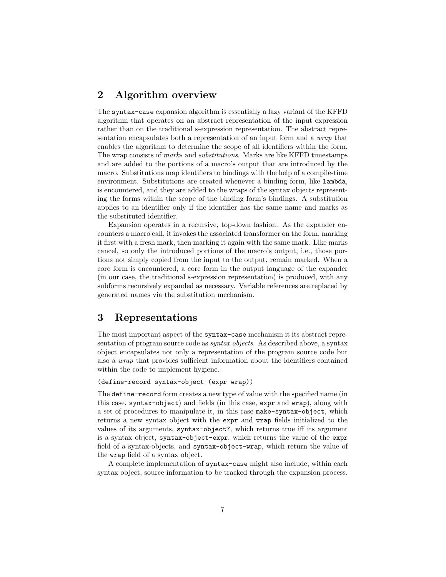#### 2 Algorithm overview

The syntax-case expansion algorithm is essentially a lazy variant of the KFFD algorithm that operates on an abstract representation of the input expression rather than on the traditional s-expression representation. The abstract representation encapsulates both a representation of an input form and a wrap that enables the algorithm to determine the scope of all identifiers within the form. The wrap consists of marks and substitutions. Marks are like KFFD timestamps and are added to the portions of a macro's output that are introduced by the macro. Substitutions map identifiers to bindings with the help of a compile-time environment. Substitutions are created whenever a binding form, like lambda, is encountered, and they are added to the wraps of the syntax objects representing the forms within the scope of the binding form's bindings. A substitution applies to an identifier only if the identifier has the same name and marks as the substituted identifier.

Expansion operates in a recursive, top-down fashion. As the expander encounters a macro call, it invokes the associated transformer on the form, marking it first with a fresh mark, then marking it again with the same mark. Like marks cancel, so only the introduced portions of the macro's output, i.e., those portions not simply copied from the input to the output, remain marked. When a core form is encountered, a core form in the output language of the expander (in our case, the traditional s-expression representation) is produced, with any subforms recursively expanded as necessary. Variable references are replaced by generated names via the substitution mechanism.

#### 3 Representations

The most important aspect of the syntax-case mechanism it its abstract representation of program source code as syntax objects. As described above, a syntax object encapsulates not only a representation of the program source code but also a wrap that provides sufficient information about the identifiers contained within the code to implement hygiene.

#### (define-record syntax-object (expr wrap))

The define-record form creates a new type of value with the specified name (in this case, syntax-object) and fields (in this case, expr and wrap), along with a set of procedures to manipulate it, in this case make-syntax-object, which returns a new syntax object with the expr and wrap fields initialized to the values of its arguments, syntax-object?, which returns true iff its argument is a syntax object, syntax-object-expr, which returns the value of the expr field of a syntax-objects, and syntax-object-wrap, which return the value of the wrap field of a syntax object.

A complete implementation of syntax-case might also include, within each syntax object, source information to be tracked through the expansion process.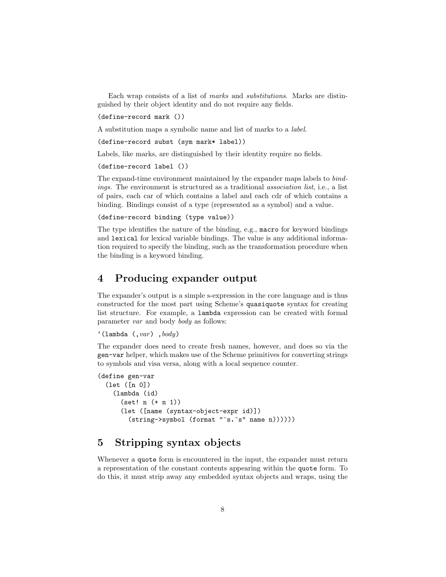Each wrap consists of a list of marks and *substitutions*. Marks are distinguished by their object identity and do not require any fields.

(define-record mark ())

A substitution maps a symbolic name and list of marks to a label.

```
(define-record subst (sym mark* label))
```
Labels, like marks, are distinguished by their identity require no fields.

(define-record label ())

The expand-time environment maintained by the expander maps labels to bindings. The environment is structured as a traditional association list, i.e., a list of pairs, each car of which contains a label and each cdr of which contains a binding. Bindings consist of a type (represented as a symbol) and a value.

```
(define-record binding (type value))
```
The type identifies the nature of the binding, e.g., macro for keyword bindings and lexical for lexical variable bindings. The value is any additional information required to specify the binding, such as the transformation procedure when the binding is a keyword binding.

### 4 Producing expander output

The expander's output is a simple s-expression in the core language and is thus constructed for the most part using Scheme's quasiquote syntax for creating list structure. For example, a lambda expression can be created with formal parameter var and body body as follows:

 $'$ (lambda (, var),  $body$ )

The expander does need to create fresh names, however, and does so via the gen-var helper, which makes use of the Scheme primitives for converting strings to symbols and visa versa, along with a local sequence counter.

```
(define gen-var
  (let ([n 0])
    (lambda (id)
      (set! n (+ n 1))(let ([name (syntax-object-expr id)])
        (string->symbol (format "˜s.˜s" name n))))))
```
### 5 Stripping syntax objects

Whenever a quote form is encountered in the input, the expander must return a representation of the constant contents appearing within the quote form. To do this, it must strip away any embedded syntax objects and wraps, using the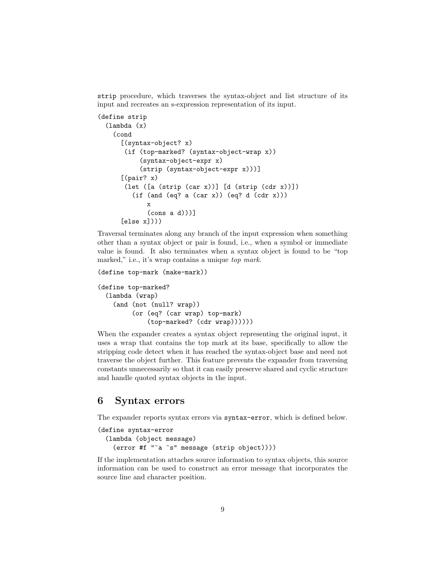strip procedure, which traverses the syntax-object and list structure of its input and recreates an s-expression representation of its input.

```
(define strip
  (lambda (x)
    (cond
      [(syntax-object? x)
       (if (top-marked? (syntax-object-wrap x))
           (syntax-object-expr x)
           (strip (syntax-object-expr x)))]
      [(pair? x)](let ([a (strip (car x))] [d (strip (cdr x))])
         (if (and (eq? a (car x)) (eq? d (cdr x)))
             x
             (cons a d)))]
      [else x]))
```
Traversal terminates along any branch of the input expression when something other than a syntax object or pair is found, i.e., when a symbol or immediate value is found. It also terminates when a syntax object is found to be "top marked," i.e., it's wrap contains a unique top mark.

```
(define top-mark (make-mark))
```

```
(define top-marked?
  (lambda (wrap)
    (and (not (null? wrap))
         (or (eq? (car wrap) top-mark)
             (top-marked? (cdr wrap))))))
```
When the expander creates a syntax object representing the original input, it uses a wrap that contains the top mark at its base, specifically to allow the stripping code detect when it has reached the syntax-object base and need not traverse the object further. This feature prevents the expander from traversing constants unnecessarily so that it can easily preserve shared and cyclic structure and handle quoted syntax objects in the input.

### 6 Syntax errors

The expander reports syntax errors via syntax-error, which is defined below.

```
(define syntax-error
  (lambda (object message)
    (error #f "˜a ˜s" message (strip object))))
```
If the implementation attaches source information to syntax objects, this source information can be used to construct an error message that incorporates the source line and character position.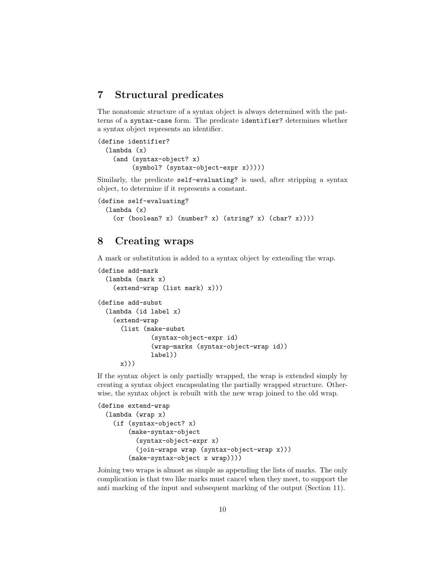#### 7 Structural predicates

The nonatomic structure of a syntax object is always determined with the patterns of a syntax-case form. The predicate identifier? determines whether a syntax object represents an identifier.

```
(define identifier?
  (lambda (x)
    (and (syntax-object? x)
         (symbol? (syntax-object-expr x)))))
```
Similarly, the predicate self-evaluating? is used, after stripping a syntax object, to determine if it represents a constant.

```
(define self-evaluating?
  (lambda (x)
    (or (boolean? x) (number? x) (string? x) (char? x))))
```
### 8 Creating wraps

A mark or substitution is added to a syntax object by extending the wrap.

```
(define add-mark
  (lambda (mark x)
    (extend-wrap (list mark) x)))
(define add-subst
  (lambda (id label x)
    (extend-wrap
      (list (make-subst
              (syntax-object-expr id)
              (wrap-marks (syntax-object-wrap id))
              label))
     x)))
```
If the syntax object is only partially wrapped, the wrap is extended simply by creating a syntax object encapsulating the partially wrapped structure. Otherwise, the syntax object is rebuilt with the new wrap joined to the old wrap.

```
(define extend-wrap
  (lambda (wrap x)
    (if (syntax-object? x)
        (make-syntax-object
          (syntax-object-expr x)
          (join-wraps wrap (syntax-object-wrap x)))
        (make-syntax-object x wrap))))
```
Joining two wraps is almost as simple as appending the lists of marks. The only complication is that two like marks must cancel when they meet, to support the anti marking of the input and subsequent marking of the output (Section 11).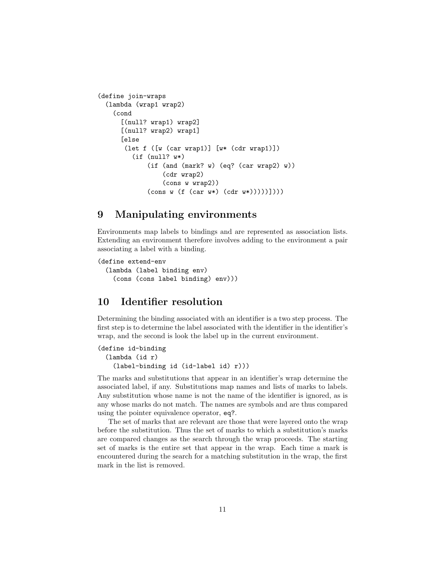```
(define join-wraps
  (lambda (wrap1 wrap2)
    (cond
      [(null? wrap1) wrap2]
      [(null? wrap2) wrap1]
      [else
       (let f ([w (car wrap1)] [w* (cdr wrap1)])
         (if (null? w*)(if (and (mark? w) (eq? (car wrap2) w))
                 (cdr wrap2)
                 (cons w wrap2))
             (cons w (f (car w*) (cdr w*)))))))
```
#### 9 Manipulating environments

Environments map labels to bindings and are represented as association lists. Extending an environment therefore involves adding to the environment a pair associating a label with a binding.

```
(define extend-env
  (lambda (label binding env)
    (cons (cons label binding) env)))
```
### 10 Identifier resolution

Determining the binding associated with an identifier is a two step process. The first step is to determine the label associated with the identifier in the identifier's wrap, and the second is look the label up in the current environment.

```
(define id-binding
  (lambda (id r)
    (label-binding id (id-label id) r)))
```
The marks and substitutions that appear in an identifier's wrap determine the associated label, if any. Substitutions map names and lists of marks to labels. Any substitution whose name is not the name of the identifier is ignored, as is any whose marks do not match. The names are symbols and are thus compared using the pointer equivalence operator, eq?.

The set of marks that are relevant are those that were layered onto the wrap before the substitution. Thus the set of marks to which a substitution's marks are compared changes as the search through the wrap proceeds. The starting set of marks is the entire set that appear in the wrap. Each time a mark is encountered during the search for a matching substitution in the wrap, the first mark in the list is removed.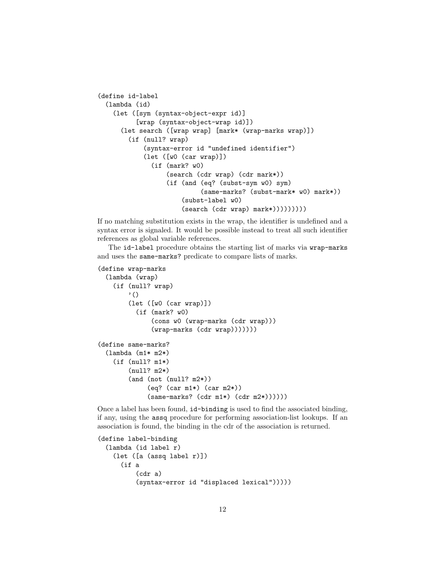```
(define id-label
  (lambda (id)
    (let ([sym (syntax-object-expr id)]
          [wrap (syntax-object-wrap id)])
      (let search ([wrap wrap] [mark* (wrap-marks wrap)])
        (if (null? wrap)
            (syntax-error id "undefined identifier")
            (let ([w0 (car wrap)])
              (if (mark? w0)
                  (search (cdr wrap) (cdr mark*))
                  (if (and (eq? (subst-sym w0) sym)
                           (same-marks? (subst-mark* w0) mark*))
                      (subst-label w0)
                      (search (cdr wrap) mark*))))))))
```
If no matching substitution exists in the wrap, the identifier is undefined and a syntax error is signaled. It would be possible instead to treat all such identifier references as global variable references.

The id-label procedure obtains the starting list of marks via wrap-marks and uses the same-marks? predicate to compare lists of marks.

```
(define wrap-marks
  (lambda (wrap)
    (if (null? wrap)
        '()
        (let ([w0 (car wrap)])
          (if (mark? w0)
              (cons w0 (wrap-marks (cdr wrap)))
              (wrap-marks (cdr wrap)))))))
(define same-marks?
 (lambda (m1* m2*)
    (if (null? m1*)(null? m2*)
        (and (not (null? m2*))
             (eq? (car m1*) (car m2*))
             (same-marks? (cdr m1*) (cdr m2*))))))
```
Once a label has been found, id-binding is used to find the associated binding, if any, using the assq procedure for performing association-list lookups. If an association is found, the binding in the cdr of the association is returned.

```
(define label-binding
  (lambda (id label r)
    (let ([a (assq label r)])
      (if a
          (cdr a)
          (syntax-error id "displaced lexical")))))
```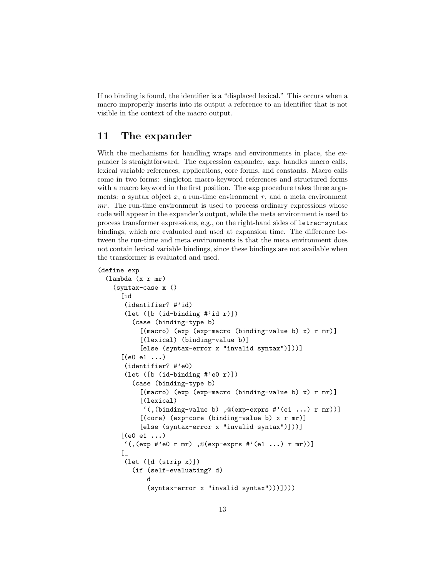If no binding is found, the identifier is a "displaced lexical." This occurs when a macro improperly inserts into its output a reference to an identifier that is not visible in the context of the macro output.

### 11 The expander

With the mechanisms for handling wraps and environments in place, the expander is straightforward. The expression expander, exp, handles macro calls, lexical variable references, applications, core forms, and constants. Macro calls come in two forms: singleton macro-keyword references and structured forms with a macro keyword in the first position. The exp procedure takes three arguments: a syntax object  $x$ , a run-time environment  $r$ , and a meta environment  $mr$ . The run-time environment is used to process ordinary expressions whose code will appear in the expander's output, while the meta environment is used to process transformer expressions, e.g., on the right-hand sides of letrec-syntax bindings, which are evaluated and used at expansion time. The difference between the run-time and meta environments is that the meta environment does not contain lexical variable bindings, since these bindings are not available when the transformer is evaluated and used.

```
(define exp
  (lambda (x r mr)
    (syntax-case x ()
      \intid
       (identifier? #'id)
       (let ([b (id-binding #'id r)])
         (case (binding-type b)
           [(macro) (exp (exp-macro (binding-value b) x) r mr)]
           [(lexical) (binding-value b)]
           [else (syntax-error x "invalid syntax")]))]
      [(e0 e1 ...)](identifier? #'e0)
       (let ([b (id-binding #'e0 r)])
         (case (binding-type b)
           [(macro) (exp (exp-macro (binding-value b) x) r mr)]
           [(lexical)
            '(,(binding-value b) ,@(exp-exprs #'(e1 ...) r mr))]
           [(core) (exp-core (binding-value b) x r mr)]
           [else (syntax-error x "invalid syntax")]))]
      [(e0 e1 \ldots)
       '(,(exp #'e0 r mr), @(exp-exprs #'(e1 ...) r mr))]
      \mathsf{L}_{-}(let ([d (strip x)])
         (if (self-evaluating? d)
             d
             (syntax-error x "invalid syntax")))])))
```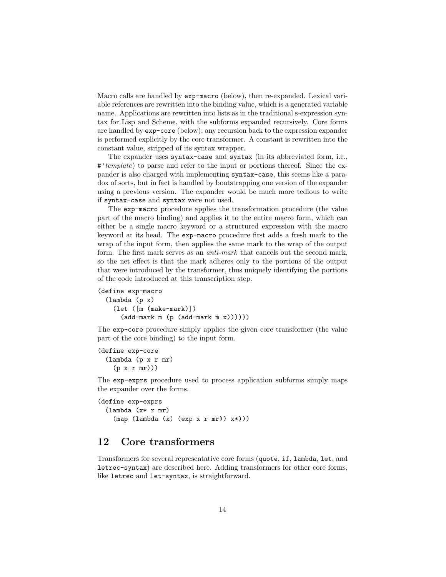Macro calls are handled by exp-macro (below), then re-expanded. Lexical variable references are rewritten into the binding value, which is a generated variable name. Applications are rewritten into lists as in the traditional s-expression syntax for Lisp and Scheme, with the subforms expanded recursively. Core forms are handled by exp-core (below); any recursion back to the expression expander is performed explicitly by the core transformer. A constant is rewritten into the constant value, stripped of its syntax wrapper.

The expander uses syntax-case and syntax (in its abbreviated form, i.e., #'template) to parse and refer to the input or portions thereof. Since the expander is also charged with implementing syntax-case, this seems like a paradox of sorts, but in fact is handled by bootstrapping one version of the expander using a previous version. The expander would be much more tedious to write if syntax-case and syntax were not used.

The exp-macro procedure applies the transformation procedure (the value part of the macro binding) and applies it to the entire macro form, which can either be a single macro keyword or a structured expression with the macro keyword at its head. The exp-macro procedure first adds a fresh mark to the wrap of the input form, then applies the same mark to the wrap of the output form. The first mark serves as an anti-mark that cancels out the second mark, so the net effect is that the mark adheres only to the portions of the output that were introduced by the transformer, thus uniquely identifying the portions of the code introduced at this transcription step.

```
(define exp-macro
  (lambda (p x)
    (let ([m (make-mark)])
      (\text{add-max m} (p (\text{add-max m} x))))))
```
The exp-core procedure simply applies the given core transformer (the value part of the core binding) to the input form.

```
(define exp-core
  (lambda (p x r mr)
    (p x r mr)))
```
The exp-exprs procedure used to process application subforms simply maps the expander over the forms.

```
(define exp-exprs
  (lambda (x* r mr)
     (\text{map } (\text{lambda } (x) (\text{exp } x \text{ r m}))) x*)
```
### 12 Core transformers

Transformers for several representative core forms (quote, if, lambda, let, and letrec-syntax) are described here. Adding transformers for other core forms, like letrec and let-syntax, is straightforward.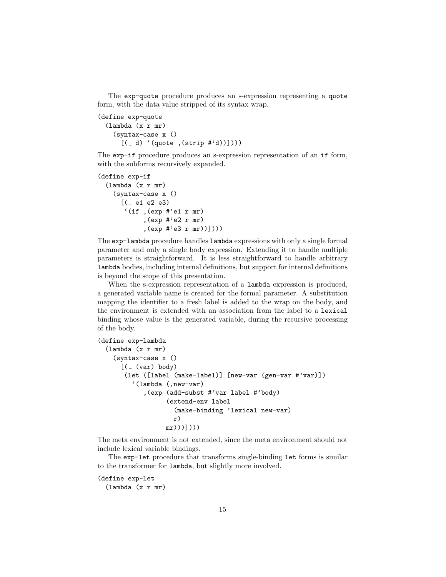The exp-quote procedure produces an s-expression representing a quote form, with the data value stripped of its syntax wrap.

```
(define exp-quote
  (lambda (x r mr)
    (syntax-case x ()
      [(-d) '(quote, (strip #'d))])))
```
The exp-if procedure produces an s-expression representation of an if form, with the subforms recursively expanded.

```
(define exp-if
  (lambda (x r mr)
    (syntax-case x ()
      [(= e1 e2 e3)
       '(if, (exp # 'el r mr),(exp #'e2 r mr)
            ,(exp #'e3 r mr))])))
```
The exp-lambda procedure handles lambda expressions with only a single formal parameter and only a single body expression. Extending it to handle multiple parameters is straightforward. It is less straightforward to handle arbitrary lambda bodies, including internal definitions, but support for internal definitions is beyond the scope of this presentation.

When the s-expression representation of a lambda expression is produced, a generated variable name is created for the formal parameter. A substitution mapping the identifier to a fresh label is added to the wrap on the body, and the environment is extended with an association from the label to a lexical binding whose value is the generated variable, during the recursive processing of the body.

```
(define exp-lambda
  (lambda (x r mr)
    (syntax-case x ()
      [((var) body)
       (let ([label (make-label)] [new-var (gen-var #'var)])
         '(lambda (,new-var)
            ,(exp (add-subst #'var label #'body)
                  (extend-env label
                    (make-binding 'lexical new-var)
                    r)
                  mr)))])))
```
The meta environment is not extended, since the meta environment should not include lexical variable bindings.

The exp-let procedure that transforms single-binding let forms is similar to the transformer for lambda, but slightly more involved.

```
(define exp-let
  (lambda (x r mr)
```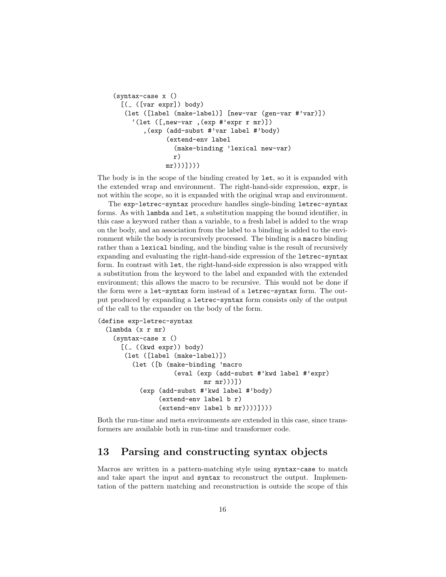```
(syntax-case x ()
 [([ ([var expr]) body)
   (let ([label (make-label)] [new-var (gen-var #'var)])
     '(let ([,new-var ,(exp #'expr r mr)])
        ,(exp (add-subst #'var label #'body)
              (extend-env label
                (make-binding 'lexical new-var)
                r)
              mr)))])))
```
The body is in the scope of the binding created by let, so it is expanded with the extended wrap and environment. The right-hand-side expression, expr, is not within the scope, so it is expanded with the original wrap and environment.

The exp-letrec-syntax procedure handles single-binding letrec-syntax forms. As with lambda and let, a substitution mapping the bound identifier, in this case a keyword rather than a variable, to a fresh label is added to the wrap on the body, and an association from the label to a binding is added to the environment while the body is recursively processed. The binding is a macro binding rather than a lexical binding, and the binding value is the result of recursively expanding and evaluating the right-hand-side expression of the letrec-syntax form. In contrast with let, the right-hand-side expression is also wrapped with a substitution from the keyword to the label and expanded with the extended environment; this allows the macro to be recursive. This would not be done if the form were a let-syntax form instead of a letrec-syntax form. The output produced by expanding a letrec-syntax form consists only of the output of the call to the expander on the body of the form.

```
(define exp-letrec-syntax
  (lambda (x r mr)
    (syntax-case x ()
      [(( ((kwd expr)) body)
       (let ([label (make-label)])
         (let ([b (make-binding 'macro
                    (eval (exp (add-subst #'kwd label #'expr)
                            mr(mr))])
           (exp (add-subst #'kwd label #'body)
                (extend-env label b r)
                (extend-env label b mr))))])))
```
Both the run-time and meta environments are extended in this case, since transformers are available both in run-time and transformer code.

## 13 Parsing and constructing syntax objects

Macros are written in a pattern-matching style using syntax-case to match and take apart the input and syntax to reconstruct the output. Implementation of the pattern matching and reconstruction is outside the scope of this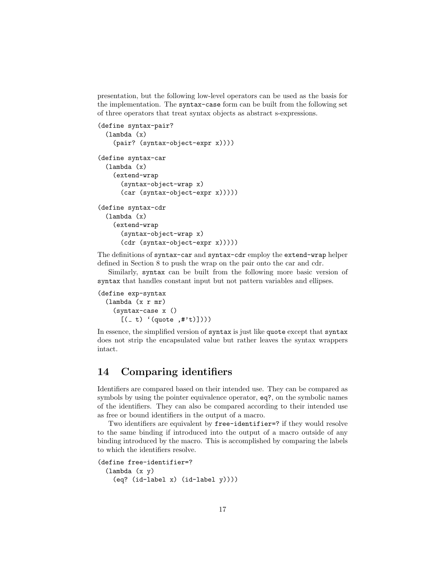presentation, but the following low-level operators can be used as the basis for the implementation. The syntax-case form can be built from the following set of three operators that treat syntax objects as abstract s-expressions.

```
(define syntax-pair?
  (lambda (x)
    (pair? (syntax-object-expr x))))
(define syntax-car
  (lambda (x)
    (extend-wrap
      (syntax-object-wrap x)
      (car (syntax-object-expr x)))))
(define syntax-cdr
  (lambda (x)
    (extend-wrap
      (syntax-object-wrap x)
      (cdr (syntax-object-expr x)))))
```
The definitions of syntax-car and syntax-cdr employ the extend-wrap helper defined in Section 8 to push the wrap on the pair onto the car and cdr.

Similarly, syntax can be built from the following more basic version of syntax that handles constant input but not pattern variables and ellipses.

(define exp-syntax (lambda (x r mr) (syntax-case x ()  $[(-t) '(quote , #'t)])))$ 

In essence, the simplified version of syntax is just like quote except that syntax does not strip the encapsulated value but rather leaves the syntax wrappers intact.

### 14 Comparing identifiers

Identifiers are compared based on their intended use. They can be compared as symbols by using the pointer equivalence operator, eq?, on the symbolic names of the identifiers. They can also be compared according to their intended use as free or bound identifiers in the output of a macro.

Two identifiers are equivalent by free-identifier=? if they would resolve to the same binding if introduced into the output of a macro outside of any binding introduced by the macro. This is accomplished by comparing the labels to which the identifiers resolve.

```
(define free-identifier=?
  (lambda (x y)
    (eq? (id-label x) (id-label y))))
```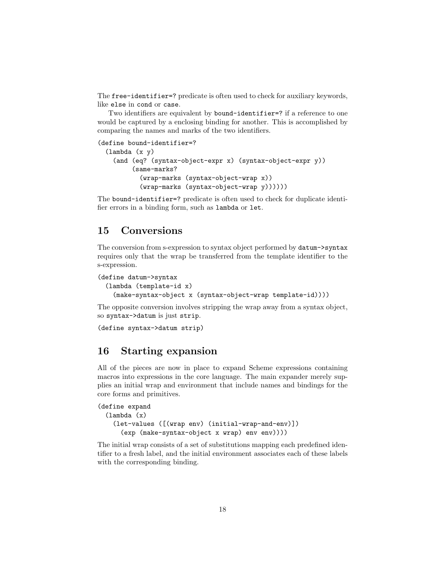The free-identifier=? predicate is often used to check for auxiliary keywords, like else in cond or case.

Two identifiers are equivalent by bound-identifier=? if a reference to one would be captured by a enclosing binding for another. This is accomplished by comparing the names and marks of the two identifiers.

(define bound-identifier=?

```
(lambda (x y)
  (and (eq? (syntax-object-expr x) (syntax-object-expr y))
       (same-marks?
         (wrap-marks (syntax-object-wrap x))
         (wrap-marks (syntax-object-wrap y))))))
```
The bound-identifier=? predicate is often used to check for duplicate identifier errors in a binding form, such as lambda or let.

#### 15 Conversions

The conversion from s-expression to syntax object performed by datum->syntax requires only that the wrap be transferred from the template identifier to the s-expression.

```
(define datum->syntax
  (lambda (template-id x)
    (make-syntax-object x (syntax-object-wrap template-id))))
```
The opposite conversion involves stripping the wrap away from a syntax object, so syntax->datum is just strip.

```
(define syntax->datum strip)
```
### 16 Starting expansion

All of the pieces are now in place to expand Scheme expressions containing macros into expressions in the core language. The main expander merely supplies an initial wrap and environment that include names and bindings for the core forms and primitives.

```
(define expand
  (lambda (x)
    (let-values ([(wrap env) (initial-wrap-and-env)])
      (exp (make-syntax-object x wrap) env env))))
```
The initial wrap consists of a set of substitutions mapping each predefined identifier to a fresh label, and the initial environment associates each of these labels with the corresponding binding.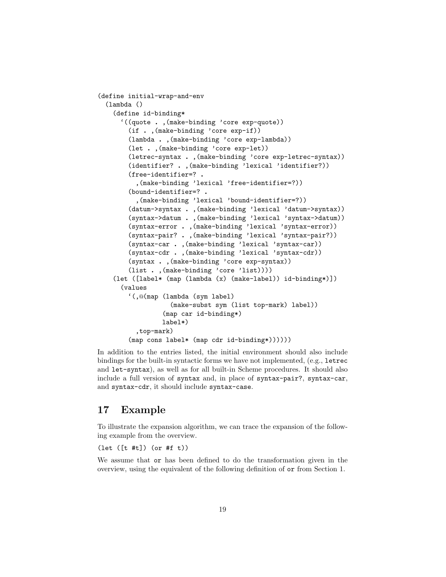```
(define initial-wrap-and-env
  (lambda ()
   (define id-binding*
      '((quote . ,(make-binding 'core exp-quote))
        (if . ,(make-binding 'core exp-if))
        (lambda . ,(make-binding 'core exp-lambda))
        (let . ,(make-binding 'core exp-let))
        (letrec-syntax . ,(make-binding 'core exp-letrec-syntax))
        (identifier? . ,(make-binding 'lexical 'identifier?))
        (free-identifier=? .
          ,(make-binding 'lexical 'free-identifier=?))
        (bound-identifier=? .
          ,(make-binding 'lexical 'bound-identifier=?))
        (datum->syntax . ,(make-binding 'lexical 'datum->syntax))
        (syntax->datum . ,(make-binding 'lexical 'syntax->datum))
        (syntax-error . ,(make-binding 'lexical 'syntax-error))
        (syntax-pair? . ,(make-binding 'lexical 'syntax-pair?))
        (syntax-car . ,(make-binding 'lexical 'syntax-car))
        (syntax-cdr . ,(make-binding 'lexical 'syntax-cdr))
        (syntax . ,(make-binding 'core exp-syntax))
        (list . ,(make-binding 'core 'list))))
    (let ([label* (map (lambda (x) (make-label)) id-binding*)])
      (values
        '(,@(map (lambda (sym label)
                   (make-subst sym (list top-mark) label))
                 (map car id-binding*)
                 label*)
          ,top-mark)
        (map cons label* (map cdr id-binding*))))))
```
In addition to the entries listed, the initial environment should also include bindings for the built-in syntactic forms we have not implemented, (e.g., letrec and let-syntax), as well as for all built-in Scheme procedures. It should also include a full version of syntax and, in place of syntax-pair?, syntax-car, and syntax-cdr, it should include syntax-case.

#### 17 Example

To illustrate the expansion algorithm, we can trace the expansion of the following example from the overview.

(let ([t #t]) (or #f t))

We assume that or has been defined to do the transformation given in the overview, using the equivalent of the following definition of or from Section 1.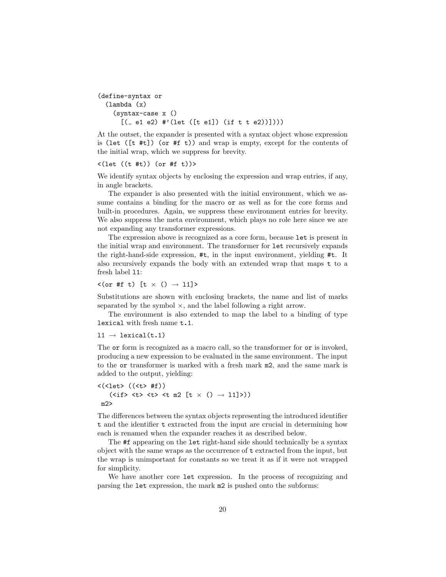```
(define-syntax or
  (lambda (x)
    (syntax-case x ()
      [(-e1 e2) #'(let ([t e1]) (if t t e2))])))
```
At the outset, the expander is presented with a syntax object whose expression is (let ([t #t]) (or #f t)) and wrap is empty, except for the contents of the initial wrap, which we suppress for brevity.

```
\langle(let ((t #t)) (or #f t))>
```
We identify syntax objects by enclosing the expression and wrap entries, if any, in angle brackets.

The expander is also presented with the initial environment, which we assume contains a binding for the macro or as well as for the core forms and built-in procedures. Again, we suppress these environment entries for brevity. We also suppress the meta environment, which plays no role here since we are not expanding any transformer expressions.

The expression above is recognized as a core form, because let is present in the initial wrap and environment. The transformer for let recursively expands the right-hand-side expression, #t, in the input environment, yielding #t. It also recursively expands the body with an extended wrap that maps t to a fresh label l1:

 $\langle$  (or #f t) [t  $\times$  ()  $\rightarrow$  11]>

Substitutions are shown with enclosing brackets, the name and list of marks separated by the symbol  $\times$ , and the label following a right arrow.

The environment is also extended to map the label to a binding of type lexical with fresh name t.1.

```
11 \rightarrow lexical(t.1)
```
The or form is recognized as a macro call, so the transformer for or is invoked, producing a new expression to be evaluated in the same environment. The input to the or transformer is marked with a fresh mark m2, and the same mark is added to the output, yielding:

```
<(<let> ((<t> #f))
      (\text{iff} \iff \text{iff} \iff \text{iff} \iff \text{if } \times \text{()} \to \text{11} \text{)}m2>
```
The differences between the syntax objects representing the introduced identifier t and the identifier t extracted from the input are crucial in determining how each is renamed when the expander reaches it as described below.

The #f appearing on the let right-hand side should technically be a syntax object with the same wraps as the occurrence of t extracted from the input, but the wrap is unimportant for constants so we treat it as if it were not wrapped for simplicity.

We have another core let expression. In the process of recognizing and parsing the let expression, the mark m2 is pushed onto the subforms: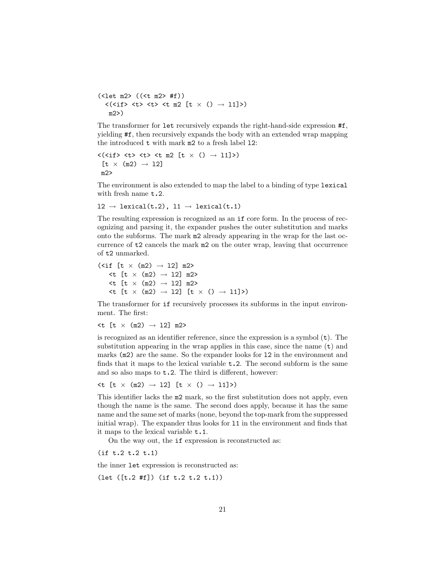```
(<let m2> ((<t m2> #f))
    \langle\langle\sin\theta\rangle\langle\cos\phi\rangle\langle\sin\theta\rangle\langle\sin\phi\rangle\langle\sin\phi\rangle () \rightarrow 11]>)
       m2>)
```
The transformer for let recursively expands the right-hand-side expression #f, yielding #f, then recursively expands the body with an extended wrap mapping the introduced  $t$  with mark m2 to a fresh label 12:

```
\langle\langle\sin{\theta}\rangle\rangle\langle\cos{\theta}\rangle\langle\sin{\theta}\rangle\langle\sin{\theta}\rangle\langle\sin{\theta}\rangle[t \times (m2) \rightarrow 12]m2>
```
The environment is also extended to map the label to a binding of type lexical with fresh name  $t.2$ .

```
12 \rightarrow lexical(t.2), 11 \rightarrow lexical(t.1)
```
The resulting expression is recognized as an if core form. In the process of recognizing and parsing it, the expander pushes the outer substitution and marks onto the subforms. The mark m2 already appearing in the wrap for the last occurrence of t2 cancels the mark m2 on the outer wrap, leaving that occurrence of t2 unmarked.

```
(<if [t \times (m2) \rightarrow 12] m2>
    \lt t [t \times (m2) \rightarrow 12] m2>
    \lt t [t \times (m2) \rightarrow 12] m2>
    \lt t [t \times (m2) \to 12] [t \times () \to 11]>)
```
The transformer for if recursively processes its subforms in the input environment. The first:

 $\lt t$  [t  $\times$  (m2)  $\rightarrow$  12] m2>

is recognized as an identifier reference, since the expression is a symbol  $(t)$ . The substitution appearing in the wrap applies in this case, since the name (t) and marks (m2) are the same. So the expander looks for 12 in the environment and finds that it maps to the lexical variable  $t.2$ . The second subform is the same and so also maps to t.2. The third is different, however:

```
\lt t [t \times (m2) \to 12] [t \times () \to 11]>)
```
This identifier lacks the m2 mark, so the first substitution does not apply, even though the name is the same. The second does apply, because it has the same name and the same set of marks (none, beyond the top-mark from the suppressed initial wrap). The expander thus looks for l1 in the environment and finds that it maps to the lexical variable t.1.

On the way out, the if expression is reconstructed as:

(if t.2 t.2 t.1)

the inner let expression is reconstructed as:

(let ([t.2 #f]) (if t.2 t.2 t.1))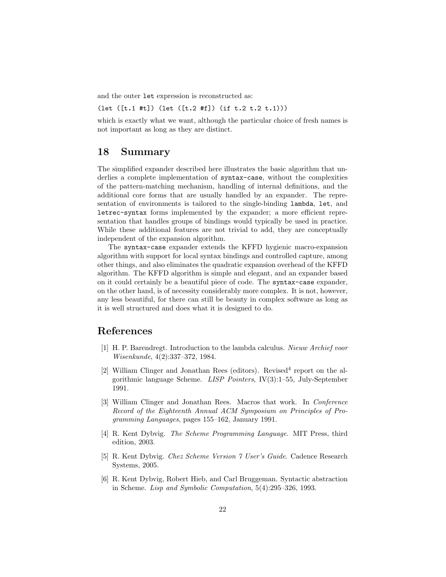and the outer let expression is reconstructed as:

(let  $([t.1 #t])$  (let  $([t.2 #f])$  (if  $t.2 t.2 t.1))$ )

which is exactly what we want, although the particular choice of fresh names is not important as long as they are distinct.

#### 18 Summary

The simplified expander described here illustrates the basic algorithm that underlies a complete implementation of syntax-case, without the complexities of the pattern-matching mechanism, handling of internal definitions, and the additional core forms that are usually handled by an expander. The representation of environments is tailored to the single-binding lambda, let, and letrec-syntax forms implemented by the expander; a more efficient representation that handles groups of bindings would typically be used in practice. While these additional features are not trivial to add, they are conceptually independent of the expansion algorithm.

The syntax-case expander extends the KFFD hygienic macro-expansion algorithm with support for local syntax bindings and controlled capture, among other things, and also eliminates the quadratic expansion overhead of the KFFD algorithm. The KFFD algorithm is simple and elegant, and an expander based on it could certainly be a beautiful piece of code. The syntax-case expander, on the other hand, is of necessity considerably more complex. It is not, however, any less beautiful, for there can still be beauty in complex software as long as it is well structured and does what it is designed to do.

#### References

- [1] H. P. Barendregt. Introduction to the lambda calculus. Nieuw Archief voor Wisenkunde, 4(2):337–372, 1984.
- [2] William Clinger and Jonathan Rees (editors). Revised<sup>4</sup> report on the algorithmic language Scheme. LISP Pointers, IV(3):1–55, July-September 1991.
- [3] William Clinger and Jonathan Rees. Macros that work. In Conference Record of the Eighteenth Annual ACM Symposium on Principles of Programming Languages, pages 155–162, January 1991.
- [4] R. Kent Dybvig. The Scheme Programming Language. MIT Press, third edition, 2003.
- [5] R. Kent Dybvig. Chez Scheme Version 7 User's Guide. Cadence Research Systems, 2005.
- [6] R. Kent Dybvig, Robert Hieb, and Carl Bruggeman. Syntactic abstraction in Scheme. Lisp and Symbolic Computation, 5(4):295–326, 1993.